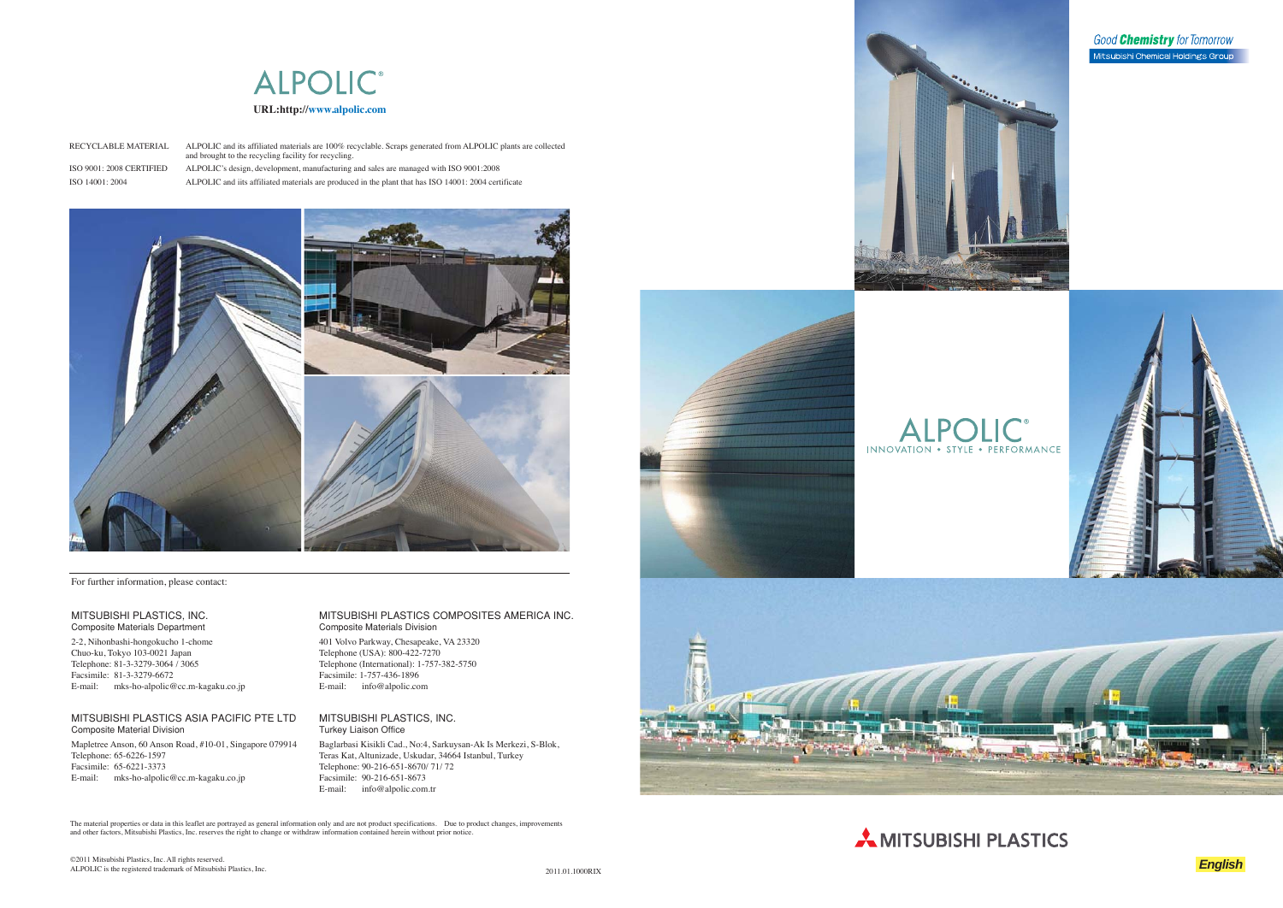

The material properties or data in this leaflet are portrayed as general information only and are not product specifications. Due to product changes, improvements and other factors, Mitsubishi Plastics, Inc. reserves the right to change or withdraw information contained herein without prior notice.













#### MITSUBISHI PLASTICS, INC. Composite Materials Department

2-2, Nihonbashi-hongokucho 1-chome Chuo-ku, Tokyo 103-0021 Japan Telephone: 81-3-3279-3064 / 3065 Facsimile: 81-3-3279-6672 E-mail: mks-ho-alpolic@cc.m-kagaku.co.jp

#### MITSUBISHI PLASTICS ASIA PACIFIC PTE LTD Composite Material Division

Mapletree Anson, 60 Anson Road, #10-01, Singapore 079914 Telephone: 65-6226-1597 Facsimile: 65-6221-3373E-mail: mks-ho-alpolic@cc.m-kagaku.co.jp

#### MITSUBISHI PLASTICS COMPOSITES AMERICA INC. Composite Materials Division

401 Volvo Parkway, Chesapeake, VA 23320 Telephone (USA): 800-422-7270 Telephone (International): 1-757-382-5750 Facsimile: 1-757-436-1896 E-mail: info@alpolic.com

#### MITSUBISHI PLASTICS, INC. Turkey Liaison Office

Baglarbasi Kisikli Cad., No:4, Sarkuysan-Ak Is Merkezi, S-Blok, Teras Kat, Altunizade, Uskudar, 34664 Istanbul, Turkey Telephone: 90-216-651-8670/ 71/ 72 Facsimile: 90-216-651-8673E-mail: info@alpolic.com.tr

For further information, please contact:

Good **Chemistry** for Tomorrow Mitsubishi Chemical Holdings Group

RECYCLABLE MATERIAL ALPOLIC and its affiliated materials are 100% recyclable. Scraps generated from ALPOLIC plants are collected and brought to the recycling facility for recycling. ISO 9001: 2008 CERTIFIED ALPOLIC's design, development, manufacturing and sales are managed with ISO 9001:2008

ISO 14001: 2004 ALPOLIC and iits affiliated materials are produced in the plant that has ISO 14001: 2004 certificate

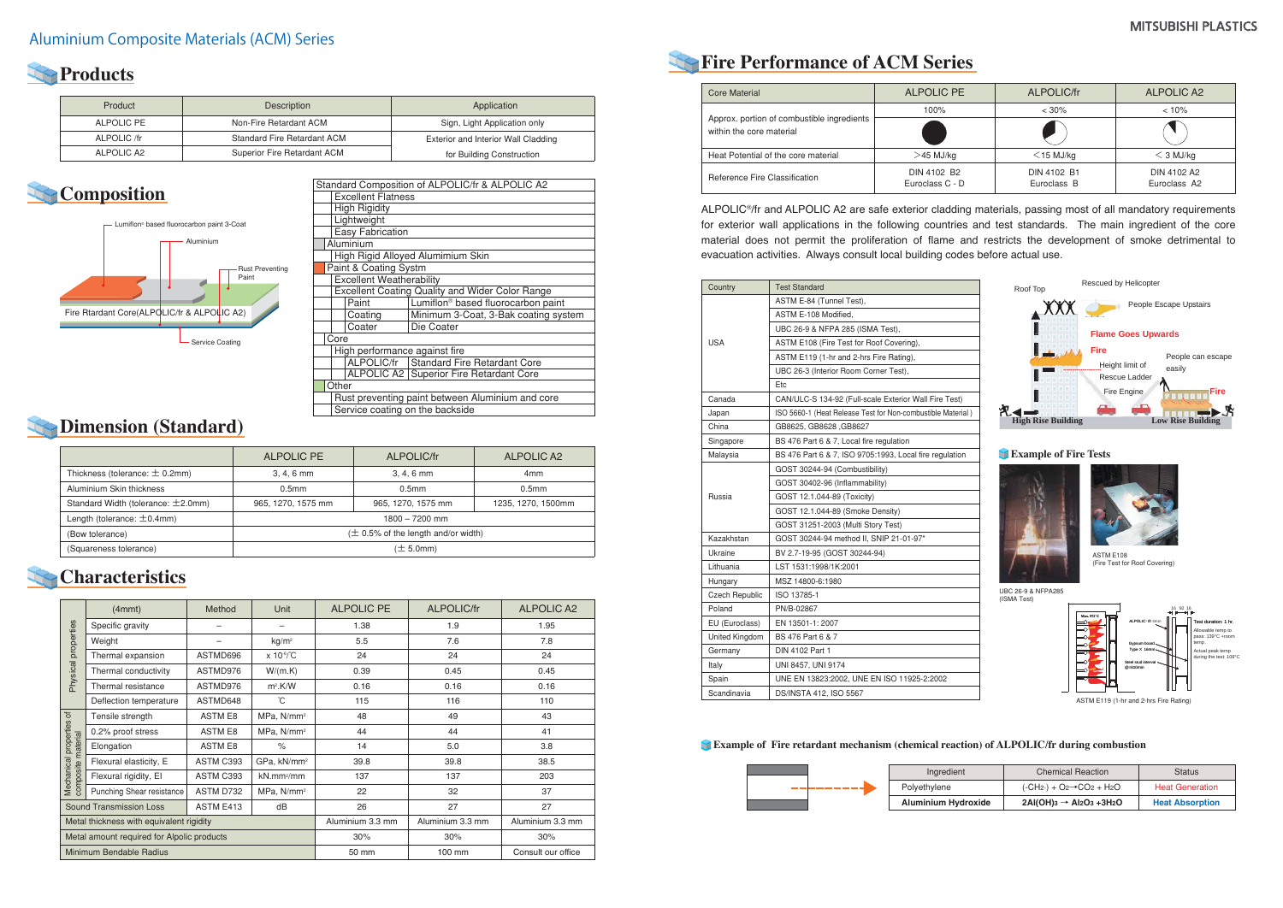# **Fire Performance of ACM Series**

ALPOLIC®/fr and ALPOLIC A2 are safe exterior cladding materials, passing most of all mandatory requirements for exterior wall applications in the following countries and test standards. The main ingredient of the core material does not permit the proliferation of flame and restricts the development of smoke detrimental to evacuation activities. Always consult local building codes before actual use.

# **Products**

# **Composition**

### **Characteristics**

| Product     | Description                 | Application                         |
|-------------|-----------------------------|-------------------------------------|
| ALPOLIC PE  | Non-Fire Retardant ACM      | Sign, Light Application only        |
| ALPOLIC /fr | Standard Fire Retardant ACM | Exterior and Interior Wall Cladding |
| ALPOLIC A2  | Superior Fire Retardant ACM | for Building Construction           |



|                                    | ALPOLIC PE                               | ALPOLIC/fr         | ALPOLIC A2         |
|------------------------------------|------------------------------------------|--------------------|--------------------|
| Thickness (tolerance: $\pm$ 0.2mm) | $3, 4, 6$ mm                             | $3, 4, 6$ mm       | 4 <sub>mm</sub>    |
| Aluminium Skin thickness           | 0.5 <sub>mm</sub>                        | 0.5 <sub>mm</sub>  | 0.5 <sub>mm</sub>  |
| Standard Width (tolerance: ±2.0mm) | 965, 1270, 1575 mm                       | 965, 1270, 1575 mm | 1235, 1270, 1500mm |
| Length (tolerance: $\pm$ 0.4mm)    | $1800 - 7200$ mm                         |                    |                    |
| (Bow tolerance)                    | $(\pm 0.5\%$ of the length and/or width) |                    |                    |
| (Squareness tolerance)             | $(\pm 5.0$ mm $)$                        |                    |                    |

### **Example of Fire retardant mechanism (chemical reaction) of ALPOLIC/fr during combustion**



|                                                | (4mmt)                         | Method           | Unit                       | <b>ALPOLIC PE</b> | <b>ALPOLIC/fr</b>  | <b>ALPOLIC A2</b> |
|------------------------------------------------|--------------------------------|------------------|----------------------------|-------------------|--------------------|-------------------|
|                                                | Specific gravity               |                  | -                          | 1.38              | 1.9                | 1.95              |
| Physical properties                            | Weight                         |                  | kg/m <sup>2</sup>          | 5.5               | 7.6                | 7.8               |
|                                                | Thermal expansion              | ASTMD696         | $x 10^{-6}$ <sup>°</sup> C | 24                | 24                 | 24                |
|                                                | Thermal conductivity           | ASTMD976         | W/(m.K)                    | 0.39              | 0.45               | 0.45              |
|                                                | Thermal resistance             | ASTMD976         | m <sup>2</sup> .K/W        | 0.16              | 0.16               | 0.16              |
|                                                | Deflection temperature         | ASTMD648         | ĈС                         | 115               | 116                | 110               |
|                                                | Tensile strength               | <b>ASTM E8</b>   | MPa, N/mm <sup>2</sup>     | 48                | 49                 | 43                |
|                                                | 0.2% proof stress              | <b>ASTM E8</b>   | MPa, N/mm <sup>2</sup>     | 44                | 44                 | 41                |
| Mechanical properties of<br>composite material | Elongation                     | <b>ASTM E8</b>   | $\frac{1}{\sqrt{2}}$       | 14                | 5.0                | 3.8               |
|                                                | Flexural elasticity, E         | ASTM C393        | GPa, kN/mm <sup>2</sup>    | 39.8              | 39.8               | 38.5              |
|                                                | Flexural rigidity, El          | ASTM C393        | $kN$ .mm <sup>2</sup> /mm  | 137               | 137                | 203               |
|                                                | Punching Shear resistance      | ASTM D732        | MPa, N/mm <sup>2</sup>     | 22                | 32                 | 37                |
|                                                | <b>Sound Transmission Loss</b> | ASTM E413        | dB                         | 26                | 27                 | 27                |
| Metal thickness with equivalent rigidity       |                                | Aluminium 3.3 mm | Aluminium 3.3 mm           | Aluminium 3.3 mm  |                    |                   |
| Metal amount required for Alpolic products     |                                |                  | 30%                        | 30%               | 30%                |                   |
| Minimum Bendable Radius                        |                                |                  | 50 mm                      | 100 mm            | Consult our office |                   |

|       | <b>Chemical Reaction</b>            | <b>Status</b>          |
|-------|-------------------------------------|------------------------|
|       | $(-CH2)+O2 \rightarrow CO2 + H2O$   | <b>Heat Generation</b> |
| oxide | $2AI(OH)3 \rightarrow Al2O3 + 3H2O$ | <b>Heat Absorption</b> |



| Standard Composition of ALPOLIC/fr & ALPOLIC A2 |                                                        |  |  |  |  |
|-------------------------------------------------|--------------------------------------------------------|--|--|--|--|
| <b>Excellent Flatness</b>                       |                                                        |  |  |  |  |
| <b>High Rigidity</b>                            |                                                        |  |  |  |  |
| Lightweight                                     |                                                        |  |  |  |  |
| <b>Easy Fabrication</b>                         |                                                        |  |  |  |  |
| Aluminium                                       |                                                        |  |  |  |  |
|                                                 | High Rigid Alloyed Alumimium Skin                      |  |  |  |  |
| Paint & Coating Systm                           |                                                        |  |  |  |  |
| <b>Excellent Weatherability</b>                 |                                                        |  |  |  |  |
|                                                 | <b>Excellent Coating Quality and Wider Color Range</b> |  |  |  |  |
| Paint                                           | Lumiflon <sup>®</sup> based fluorocarbon paint         |  |  |  |  |
| Coating                                         | Minimum 3-Coat, 3-Bak coating system                   |  |  |  |  |
| Coater                                          | Die Coater                                             |  |  |  |  |
| Core                                            |                                                        |  |  |  |  |
| High performance against fire                   |                                                        |  |  |  |  |
|                                                 | ALPOLIC/fr   Standard Fire Retardant Core              |  |  |  |  |
| ALPOLIC A2   Superior Fire Retardant Core       |                                                        |  |  |  |  |
| Other                                           |                                                        |  |  |  |  |
|                                                 | Rust preventing paint between Aluminium and core       |  |  |  |  |
| Service coating on the backside                 |                                                        |  |  |  |  |

### **Dimension (Standard)**

|  | Country               | <b>Test Standard</b>                                        |
|--|-----------------------|-------------------------------------------------------------|
|  |                       | ASTM E-84 (Tunnel Test),                                    |
|  |                       | ASTM E-108 Modified.                                        |
|  |                       | UBC 26-9 & NFPA 285 (ISMA Test),                            |
|  | <b>USA</b>            | ASTM E108 (Fire Test for Roof Covering),                    |
|  |                       | ASTM E119 (1-hr and 2-hrs Fire Rating),                     |
|  |                       | UBC 26-3 (Interior Room Corner Test),                       |
|  |                       | Etc                                                         |
|  | Canada                | CAN/ULC-S 134-92 (Full-scale Exterior Wall Fire Test)       |
|  | Japan                 | ISO 5660-1 (Heat Release Test for Non-combustible Material) |
|  | China                 | GB8625, GB8628, GB8627                                      |
|  | Singapore             | BS 476 Part 6 & 7, Local fire regulation                    |
|  | Malaysia              | BS 476 Part 6 & 7, ISO 9705:1993, Local fire regulation     |
|  |                       | GOST 30244-94 (Combustibility)                              |
|  |                       | GOST 30402-96 (Inflammability)                              |
|  | Russia                | GOST 12.1.044-89 (Toxicity)                                 |
|  |                       | GOST 12.1.044-89 (Smoke Density)                            |
|  |                       | GOST 31251-2003 (Multi Story Test)                          |
|  | Kazakhstan            | GOST 30244-94 method II, SNIP 21-01-97*                     |
|  | Ukraine               | BV 2.7-19-95 (GOST 30244-94)                                |
|  | Lithuania             | LST 1531:1998/1K:2001                                       |
|  | Hungary               | MSZ 14800-6:1980                                            |
|  | <b>Czech Republic</b> | ISO 13785-1                                                 |
|  | Poland                | PN/B-02867                                                  |
|  | EU (Euroclass)        | EN 13501-1: 2007                                            |
|  | United Kingdom        | BS 476 Part 6 & 7                                           |
|  | Germany               | DIN 4102 Part 1                                             |
|  | Italy                 | UNI 8457, UNI 9174                                          |
|  | Spain                 | UNE EN 13823:2002, UNE EN ISO 11925-2:2002                  |
|  | Scandinavia           | DS/INSTA 412, ISO 5567                                      |
|  |                       |                                                             |

| Core Material                                                          | ALPOLIC PE                     | ALPOLIC/fr                 | ALPOLIC A2                  |
|------------------------------------------------------------------------|--------------------------------|----------------------------|-----------------------------|
|                                                                        | 100%                           | $< 30\%$                   | $< 10\%$                    |
| Approx. portion of combustible ingredients<br>within the core material |                                |                            |                             |
| Heat Potential of the core material                                    | $>$ 45 MJ/kg                   | $<$ 15 MJ/kg               | $<$ 3 MJ/kg                 |
| Reference Fire Classification                                          | DIN 4102 B2<br>Euroclass C - D | DIN 4102 B1<br>Euroclass B | DIN 4102 A2<br>Euroclass A2 |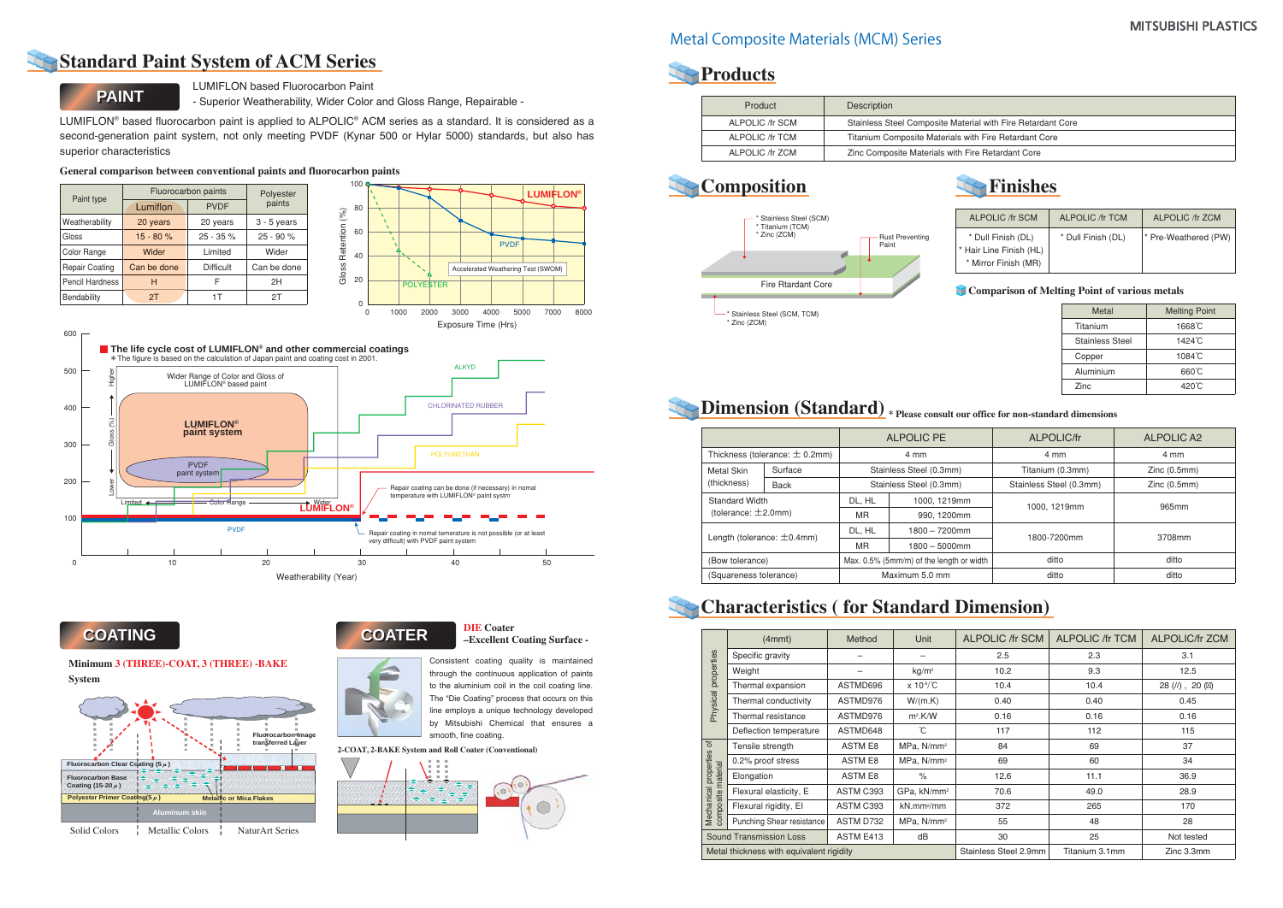LUMIFLON based Fluorocarbon Paint

- Superior Weatherability, Wider Color and Gloss Range, Repairable -

LUMIFLON® based fluorocarbon paint is applied to ALPOLIC® ACM series as a standard. It is considered as a second-generation paint system, not only meeting PVDF (Kynar 500 or Hylar 5000) standards, but also has superior characteristics

> Consistent coating quality is maintained through the continuous application of paints to the aluminium coil in the coil coating line. The "Die Coating" process that occurs on this line employs a unique technology developed by Mitsubishi Chemical that ensures a smooth, fine coating.

#### **Minimum 3 (THREE)-COAT, 3 (THREE) -BAKE System**

|                        | Fluorocarbon paints     | Polyester<br>paints |               |
|------------------------|-------------------------|---------------------|---------------|
| Paint type             | <b>PVDF</b><br>Lumiflon |                     |               |
| Weatherability         | 20 years                | 20 years            | $3 - 5$ years |
| Gloss                  | $15 - 80%$              | $25 - 35 \%$        | $25 - 90%$    |
| Color Range            | Wider                   | Limited             | Wider         |
| <b>Repair Coating</b>  | Can be done             | Difficult           | Can be done   |
| <b>Pencil Hardness</b> | н                       | F                   | 2H            |
| Bendability            | 2T                      | 1 T                 | 2T            |



#### **General comparison between conventional paints and fluorocarbon paints**



### **Standard Paint System of ACM Series**



### **COATING COATING**

### **COATER COATER**



600

#### **DIE Coater –Excellent Coating Surface -**



**2-COAT, 2-BAKE System and Roll Coater (Conventional)**



### **Products**

| Product         | Description                                                 |
|-----------------|-------------------------------------------------------------|
| ALPOLIC /fr SCM | Stainless Steel Composite Material with Fire Retardant Core |
| ALPOLIC /fr TCM | Titanium Composite Materials with Fire Retardant Core       |
| ALPOLIC /fr ZCM | Zinc Composite Materials with Fire Retardant Core           |



|                                                | (4mmt)                         | Method                | Unit                      | <b>ALPOLIC /fr SCM</b> | <b>ALPOLIC /fr TCM</b> | <b>ALPOLIC/fr ZCM</b> |
|------------------------------------------------|--------------------------------|-----------------------|---------------------------|------------------------|------------------------|-----------------------|
|                                                | Specific gravity               |                       |                           | 2.5                    | 2.3                    | 3.1                   |
|                                                | Weight                         |                       | kg/m <sup>2</sup>         | 10.2                   | 9.3                    | 12.5                  |
|                                                | Thermal expansion              | ASTMD696              | $x 10^{-6}$ <sup>C</sup>  | 10.4                   | 10.4                   | $28$ (//), $20$ ()    |
| Physical properties                            | Thermal conductivity           | ASTMD976              | W/(m.K)                   | 0.40                   | 0.40                   | 0.45                  |
|                                                | Thermal resistance             | ASTMD976              | $m^2$ .K/W                | 0.16                   | 0.16                   | 0.16                  |
|                                                | Deflection temperature         | ASTMD648              | ĈС                        | 117                    | 112                    | 115                   |
|                                                | Tensile strength               | <b>ASTM E8</b>        | MPa, N/mm <sup>2</sup>    | 84                     | 69                     | 37                    |
|                                                | 0.2% proof stress              | <b>ASTM E8</b>        | MPa, N/mm <sup>2</sup>    | 69                     | 60                     | 34                    |
| Mechanical properties of<br>composite material | Elongation                     | <b>ASTM E8</b>        | $\%$                      | 12.6                   | 11.1                   | 36.9                  |
|                                                | Flexural elasticity, E         | ASTM C393             | GPa, kN/mm <sup>2</sup>   | 70.6                   | 49.0                   | 28.9                  |
|                                                | Flexural rigidity, El          | ASTM C393             | $kN$ .mm <sup>2</sup> /mm | 372                    | 265                    | 170                   |
|                                                | Punching Shear resistance      | ASTM D732             | MPa, N/mm <sup>2</sup>    | 55                     | 48                     | 28                    |
|                                                | <b>Sound Transmission Loss</b> | ASTM E413             | dB                        | 30                     | 25                     | Not tested            |
| Metal thickness with equivalent rigidity       |                                | Stainless Steel 2.9mm | Titanium 3.1mm            | Zinc 3.3mm             |                        |                       |

|                                          |                                                   | <b>ALPOLIC PE</b>                        |                         | ALPOLIC/fr              | <b>ALPOLIC A2</b> |
|------------------------------------------|---------------------------------------------------|------------------------------------------|-------------------------|-------------------------|-------------------|
|                                          | Thickness (tolerance: $\pm$ 0.2mm)<br>4 mm        |                                          | 4 mm                    | 4 mm                    |                   |
| Metal Skin                               | Surface                                           |                                          | Stainless Steel (0.3mm) | Titanium (0.3mm)        | Zinc(0.5mm)       |
| (thickness)                              | <b>Back</b>                                       |                                          | Stainless Steel (0.3mm) | Stainless Steel (0.3mm) | Zinc(0.5mm)       |
|                                          | <b>Standard Width</b><br>(tolerance: $\pm$ 2.0mm) |                                          | 1000, 1219mm            | 1000, 1219mm            | 965mm             |
|                                          |                                                   |                                          | 990.1200mm              |                         |                   |
|                                          |                                                   |                                          | $1800 - 7200$ mm        | 1800-7200mm             | 3708mm            |
| Length (tolerance: $\pm$ 0.4mm)          |                                                   | <b>MR</b>                                | $1800 - 5000$ mm        |                         |                   |
| (Bow tolerance)                          |                                                   | Max. 0.5% (5mm/m) of the length or width |                         | ditto                   | ditto             |
| Maximum 5.0 mm<br>(Squareness tolerance) |                                                   | ditto                                    | ditto                   |                         |                   |

# **Characteristics (for Standard Dimension)**

### Metal Composite Materials (MCM) Series

### **Dimension (Standard) \* Please consult our office for non-standard dimensions**

| <b>ALPOLIC /fr SCM</b>                                                | <b>ALPOLIC /fr TCM</b> | <b>ALPOLIC /fr ZCM</b> |
|-----------------------------------------------------------------------|------------------------|------------------------|
| * Dull Finish (DL)<br>* Hair Line Finish (HL)<br>* Mirror Finish (MR) | * Dull Finish (DL)     | * Pre-Weathered (PW)   |

# **Finishes**

| Metal                  | <b>Melting Point</b> |
|------------------------|----------------------|
| Titanium               | 1668°C               |
| <b>Stainless Steel</b> | 1424°C               |
| Copper                 | 1084°C               |
| Aluminium              | $660^{\circ}$ C      |
| Zinc                   | 420°C                |

### **Comparison of Melting Point of various metals**